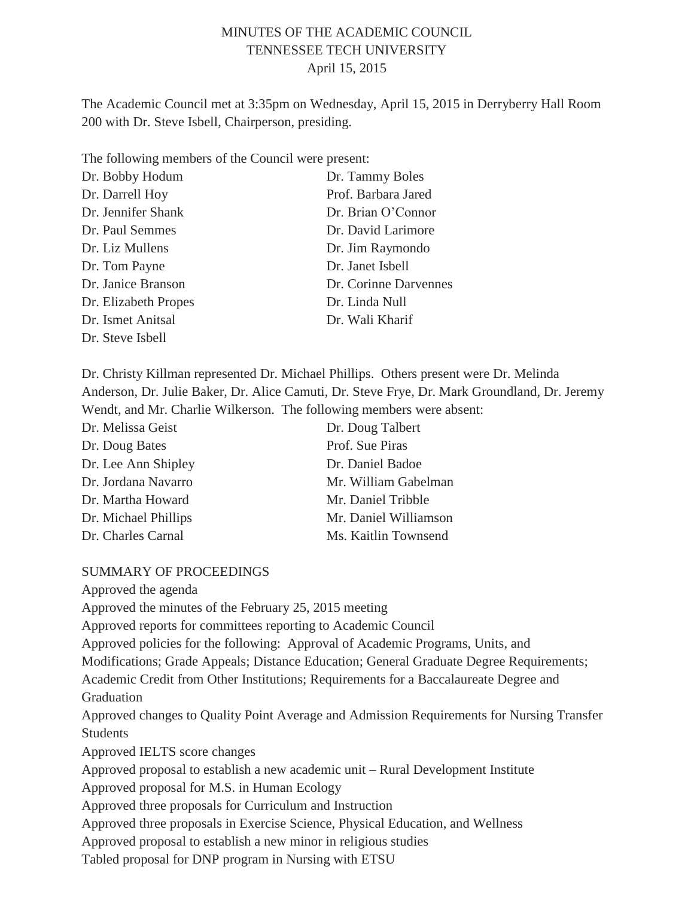## MINUTES OF THE ACADEMIC COUNCIL TENNESSEE TECH UNIVERSITY April 15, 2015

The Academic Council met at 3:35pm on Wednesday, April 15, 2015 in Derryberry Hall Room 200 with Dr. Steve Isbell, Chairperson, presiding.

The following members of the Council were present:

| Dr. Bobby Hodum      | Dr. Tammy Boles       |
|----------------------|-----------------------|
| Dr. Darrell Hoy      | Prof. Barbara Jared   |
| Dr. Jennifer Shank   | Dr. Brian O'Connor    |
| Dr. Paul Semmes      | Dr. David Larimore    |
| Dr. Liz Mullens      | Dr. Jim Raymondo      |
| Dr. Tom Payne        | Dr. Janet Isbell      |
| Dr. Janice Branson   | Dr. Corinne Darvennes |
| Dr. Elizabeth Propes | Dr. Linda Null        |
| Dr. Ismet Anitsal    | Dr. Wali Kharif       |
| Dr. Steve Isbell     |                       |

Dr. Christy Killman represented Dr. Michael Phillips. Others present were Dr. Melinda Anderson, Dr. Julie Baker, Dr. Alice Camuti, Dr. Steve Frye, Dr. Mark Groundland, Dr. Jeremy Wendt, and Mr. Charlie Wilkerson. The following members were absent:

| Dr. Melissa Geist    | Dr. Doug Talbert      |
|----------------------|-----------------------|
| Dr. Doug Bates       | Prof. Sue Piras       |
| Dr. Lee Ann Shipley  | Dr. Daniel Badoe      |
| Dr. Jordana Navarro  | Mr. William Gabelman  |
| Dr. Martha Howard    | Mr. Daniel Tribble    |
| Dr. Michael Phillips | Mr. Daniel Williamson |
| Dr. Charles Carnal   | Ms. Kaitlin Townsend  |

#### SUMMARY OF PROCEEDINGS

Approved the agenda Approved the minutes of the February 25, 2015 meeting Approved reports for committees reporting to Academic Council Approved policies for the following: Approval of Academic Programs, Units, and Modifications; Grade Appeals; Distance Education; General Graduate Degree Requirements; Academic Credit from Other Institutions; Requirements for a Baccalaureate Degree and **Graduation** Approved changes to Quality Point Average and Admission Requirements for Nursing Transfer Students Approved IELTS score changes Approved proposal to establish a new academic unit – Rural Development Institute Approved proposal for M.S. in Human Ecology Approved three proposals for Curriculum and Instruction Approved three proposals in Exercise Science, Physical Education, and Wellness Approved proposal to establish a new minor in religious studies Tabled proposal for DNP program in Nursing with ETSU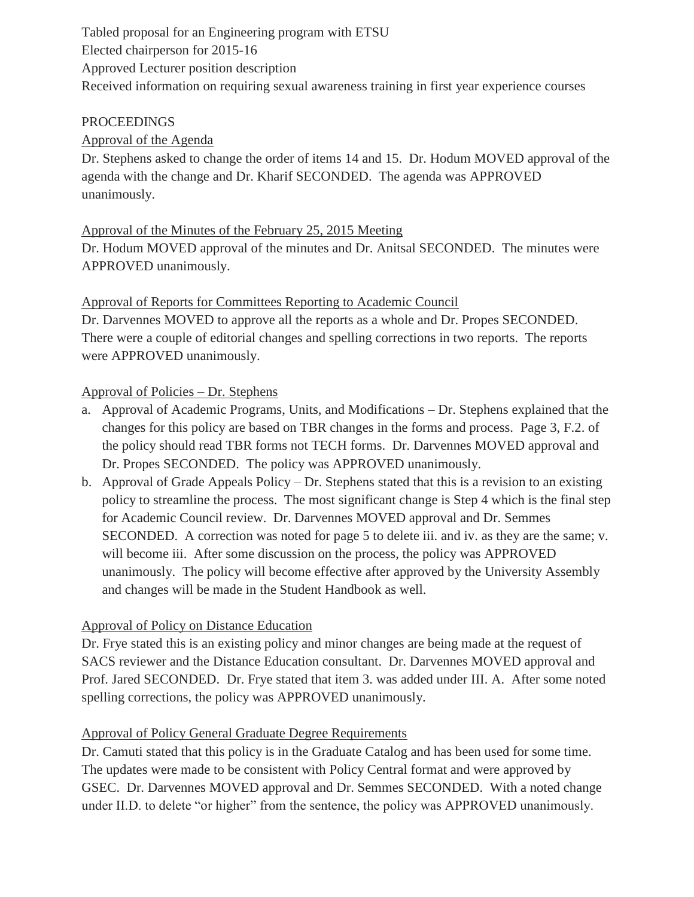Tabled proposal for an Engineering program with ETSU Elected chairperson for 2015-16 Approved Lecturer position description Received information on requiring sexual awareness training in first year experience courses

#### PROCEEDINGS

## Approval of the Agenda

Dr. Stephens asked to change the order of items 14 and 15. Dr. Hodum MOVED approval of the agenda with the change and Dr. Kharif SECONDED. The agenda was APPROVED unanimously.

#### Approval of the Minutes of the February 25, 2015 Meeting

Dr. Hodum MOVED approval of the minutes and Dr. Anitsal SECONDED. The minutes were APPROVED unanimously.

#### Approval of Reports for Committees Reporting to Academic Council

Dr. Darvennes MOVED to approve all the reports as a whole and Dr. Propes SECONDED. There were a couple of editorial changes and spelling corrections in two reports. The reports were APPROVED unanimously.

#### Approval of Policies – Dr. Stephens

- a. Approval of Academic Programs, Units, and Modifications Dr. Stephens explained that the changes for this policy are based on TBR changes in the forms and process. Page 3, F.2. of the policy should read TBR forms not TECH forms. Dr. Darvennes MOVED approval and Dr. Propes SECONDED. The policy was APPROVED unanimously.
- b. Approval of Grade Appeals Policy Dr. Stephens stated that this is a revision to an existing policy to streamline the process. The most significant change is Step 4 which is the final step for Academic Council review. Dr. Darvennes MOVED approval and Dr. Semmes SECONDED. A correction was noted for page 5 to delete iii. and iv. as they are the same; v. will become iii. After some discussion on the process, the policy was APPROVED unanimously. The policy will become effective after approved by the University Assembly and changes will be made in the Student Handbook as well.

## Approval of Policy on Distance Education

Dr. Frye stated this is an existing policy and minor changes are being made at the request of SACS reviewer and the Distance Education consultant. Dr. Darvennes MOVED approval and Prof. Jared SECONDED. Dr. Frye stated that item 3. was added under III. A. After some noted spelling corrections, the policy was APPROVED unanimously.

#### Approval of Policy General Graduate Degree Requirements

Dr. Camuti stated that this policy is in the Graduate Catalog and has been used for some time. The updates were made to be consistent with Policy Central format and were approved by GSEC. Dr. Darvennes MOVED approval and Dr. Semmes SECONDED. With a noted change under II.D. to delete "or higher" from the sentence, the policy was APPROVED unanimously.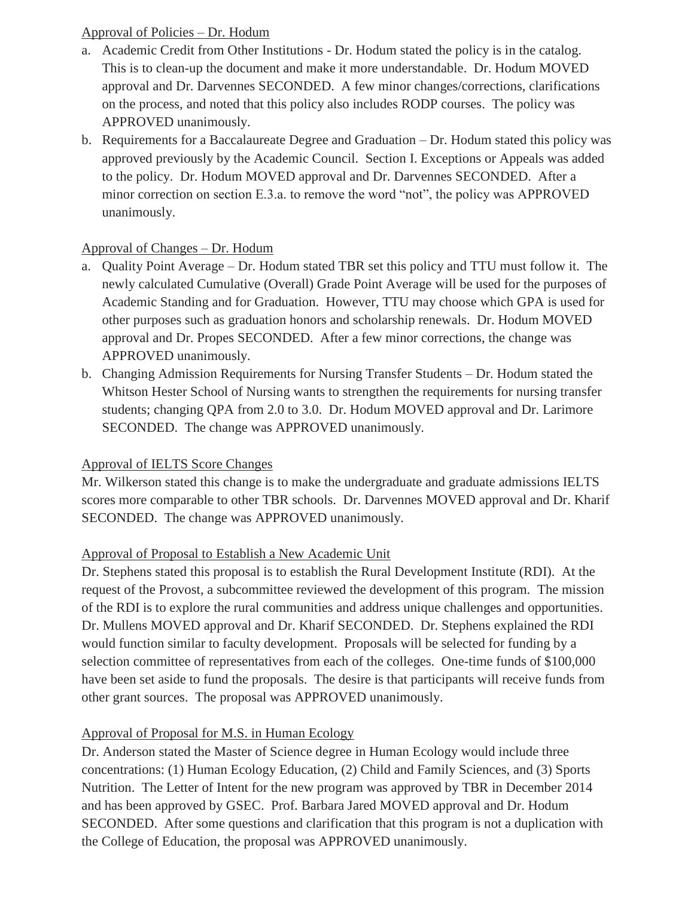### Approval of Policies – Dr. Hodum

- a. Academic Credit from Other Institutions Dr. Hodum stated the policy is in the catalog. This is to clean-up the document and make it more understandable. Dr. Hodum MOVED approval and Dr. Darvennes SECONDED. A few minor changes/corrections, clarifications on the process, and noted that this policy also includes RODP courses. The policy was APPROVED unanimously.
- b. Requirements for a Baccalaureate Degree and Graduation Dr. Hodum stated this policy was approved previously by the Academic Council. Section I. Exceptions or Appeals was added to the policy. Dr. Hodum MOVED approval and Dr. Darvennes SECONDED. After a minor correction on section E.3.a. to remove the word "not", the policy was APPROVED unanimously.

## Approval of Changes – Dr. Hodum

- a. Quality Point Average Dr. Hodum stated TBR set this policy and TTU must follow it. The newly calculated Cumulative (Overall) Grade Point Average will be used for the purposes of Academic Standing and for Graduation. However, TTU may choose which GPA is used for other purposes such as graduation honors and scholarship renewals. Dr. Hodum MOVED approval and Dr. Propes SECONDED. After a few minor corrections, the change was APPROVED unanimously.
- b. Changing Admission Requirements for Nursing Transfer Students Dr. Hodum stated the Whitson Hester School of Nursing wants to strengthen the requirements for nursing transfer students; changing QPA from 2.0 to 3.0. Dr. Hodum MOVED approval and Dr. Larimore SECONDED. The change was APPROVED unanimously.

## Approval of IELTS Score Changes

Mr. Wilkerson stated this change is to make the undergraduate and graduate admissions IELTS scores more comparable to other TBR schools. Dr. Darvennes MOVED approval and Dr. Kharif SECONDED. The change was APPROVED unanimously.

#### Approval of Proposal to Establish a New Academic Unit

Dr. Stephens stated this proposal is to establish the Rural Development Institute (RDI). At the request of the Provost, a subcommittee reviewed the development of this program. The mission of the RDI is to explore the rural communities and address unique challenges and opportunities. Dr. Mullens MOVED approval and Dr. Kharif SECONDED. Dr. Stephens explained the RDI would function similar to faculty development. Proposals will be selected for funding by a selection committee of representatives from each of the colleges. One-time funds of \$100,000 have been set aside to fund the proposals. The desire is that participants will receive funds from other grant sources. The proposal was APPROVED unanimously.

## Approval of Proposal for M.S. in Human Ecology

Dr. Anderson stated the Master of Science degree in Human Ecology would include three concentrations: (1) Human Ecology Education, (2) Child and Family Sciences, and (3) Sports Nutrition. The Letter of Intent for the new program was approved by TBR in December 2014 and has been approved by GSEC. Prof. Barbara Jared MOVED approval and Dr. Hodum SECONDED. After some questions and clarification that this program is not a duplication with the College of Education, the proposal was APPROVED unanimously.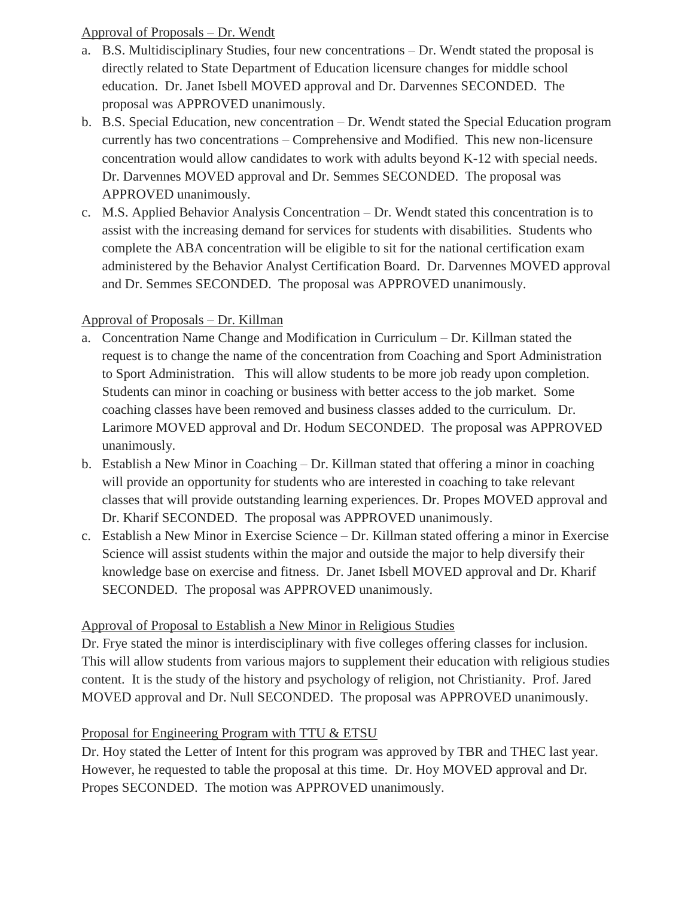## Approval of Proposals – Dr. Wendt

- a. B.S. Multidisciplinary Studies, four new concentrations Dr. Wendt stated the proposal is directly related to State Department of Education licensure changes for middle school education. Dr. Janet Isbell MOVED approval and Dr. Darvennes SECONDED. The proposal was APPROVED unanimously.
- b. B.S. Special Education, new concentration Dr. Wendt stated the Special Education program currently has two concentrations – Comprehensive and Modified. This new non-licensure concentration would allow candidates to work with adults beyond K-12 with special needs. Dr. Darvennes MOVED approval and Dr. Semmes SECONDED. The proposal was APPROVED unanimously.
- c. M.S. Applied Behavior Analysis Concentration Dr. Wendt stated this concentration is to assist with the increasing demand for services for students with disabilities. Students who complete the ABA concentration will be eligible to sit for the national certification exam administered by the Behavior Analyst Certification Board. Dr. Darvennes MOVED approval and Dr. Semmes SECONDED. The proposal was APPROVED unanimously.

# Approval of Proposals – Dr. Killman

- a. Concentration Name Change and Modification in Curriculum Dr. Killman stated the request is to change the name of the concentration from Coaching and Sport Administration to Sport Administration. This will allow students to be more job ready upon completion. Students can minor in coaching or business with better access to the job market. Some coaching classes have been removed and business classes added to the curriculum. Dr. Larimore MOVED approval and Dr. Hodum SECONDED. The proposal was APPROVED unanimously.
- b. Establish a New Minor in Coaching Dr. Killman stated that offering a minor in coaching will provide an opportunity for students who are interested in coaching to take relevant classes that will provide outstanding learning experiences. Dr. Propes MOVED approval and Dr. Kharif SECONDED. The proposal was APPROVED unanimously.
- c. Establish a New Minor in Exercise Science Dr. Killman stated offering a minor in Exercise Science will assist students within the major and outside the major to help diversify their knowledge base on exercise and fitness. Dr. Janet Isbell MOVED approval and Dr. Kharif SECONDED. The proposal was APPROVED unanimously.

## Approval of Proposal to Establish a New Minor in Religious Studies

Dr. Frye stated the minor is interdisciplinary with five colleges offering classes for inclusion. This will allow students from various majors to supplement their education with religious studies content. It is the study of the history and psychology of religion, not Christianity. Prof. Jared MOVED approval and Dr. Null SECONDED. The proposal was APPROVED unanimously.

## Proposal for Engineering Program with TTU & ETSU

Dr. Hoy stated the Letter of Intent for this program was approved by TBR and THEC last year. However, he requested to table the proposal at this time. Dr. Hoy MOVED approval and Dr. Propes SECONDED. The motion was APPROVED unanimously.